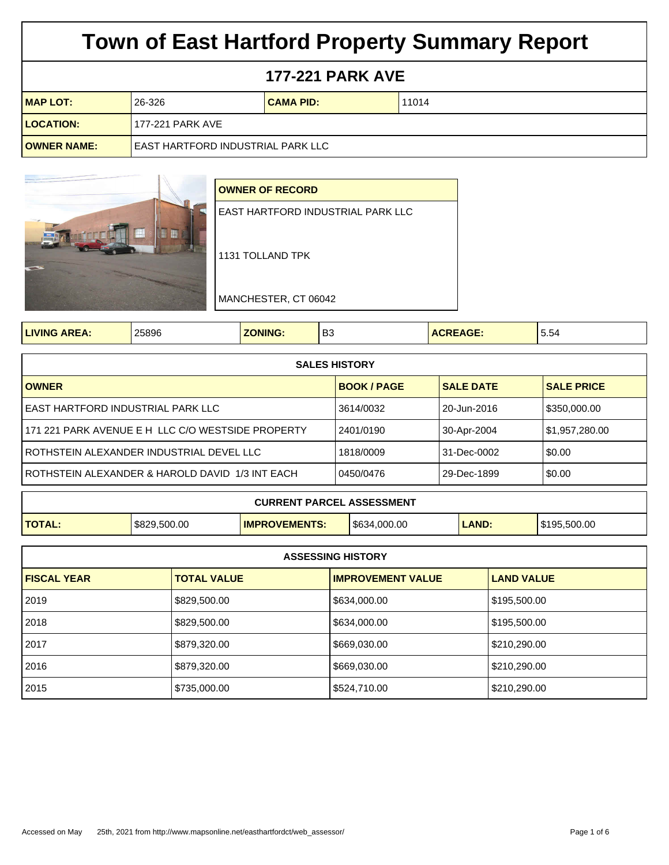## **177-221 PARK AVE**

| <b>MAP LOT:</b>    | 26-326                            | <b>CAMA PID:</b> | 11014 |
|--------------------|-----------------------------------|------------------|-------|
| <b>LOCATION:</b>   | 177-221 PARK AVE                  |                  |       |
| <b>OWNER NAME:</b> | EAST HARTFORD INDUSTRIAL PARK LLC |                  |       |



|--|

| <b>SALES HISTORY</b>                               |                    |                  |                   |  |
|----------------------------------------------------|--------------------|------------------|-------------------|--|
| <b>OWNER</b>                                       | <b>BOOK / PAGE</b> | <b>SALE DATE</b> | <b>SALE PRICE</b> |  |
| l EAST HARTFORD INDUSTRIAL PARK LLC                | 3614/0032          | 20-Jun-2016      | \$350,000.00      |  |
| 171 221 PARK AVENUE E H LLC C/O WESTSIDE PROPERTY  | 2401/0190          | 30-Apr-2004      | \$1,957,280.00    |  |
| l ROTHSTEIN ALEXANDER INDUSTRIAL DEVEL LLC         | 1818/0009          | 31-Dec-0002      | \$0.00            |  |
| l ROTHSTEIN ALEXANDER & HAROLD DAVID 1/3 INT EACH. | 0450/0476          | 29-Dec-1899      | \$0.00            |  |
|                                                    |                    |                  |                   |  |

| <b>CURRENT PARCEL ASSESSMENT</b> |              |                      |             |              |              |
|----------------------------------|--------------|----------------------|-------------|--------------|--------------|
| <b>TOTAL</b>                     | \$829,500.00 | <b>IMPROVEMENTS:</b> | 5634.000.00 | <b>LAND:</b> | \$195.500.00 |

| <b>ASSESSING HISTORY</b> |                    |                          |                   |  |
|--------------------------|--------------------|--------------------------|-------------------|--|
| <b>FISCAL YEAR</b>       | <b>TOTAL VALUE</b> | <b>IMPROVEMENT VALUE</b> | <b>LAND VALUE</b> |  |
| 2019                     | \$829,500.00       | \$634,000.00             | \$195,500.00      |  |
| 2018 ا                   | \$829,500.00       | \$634,000.00             | \$195,500.00      |  |
| l 2017                   | \$879,320.00       | \$669,030.00             | \$210,290.00      |  |
| 2016                     | \$879,320.00       | \$669,030.00             | \$210,290.00      |  |
| 2015                     | \$735,000.00       | \$524,710.00             | \$210,290.00      |  |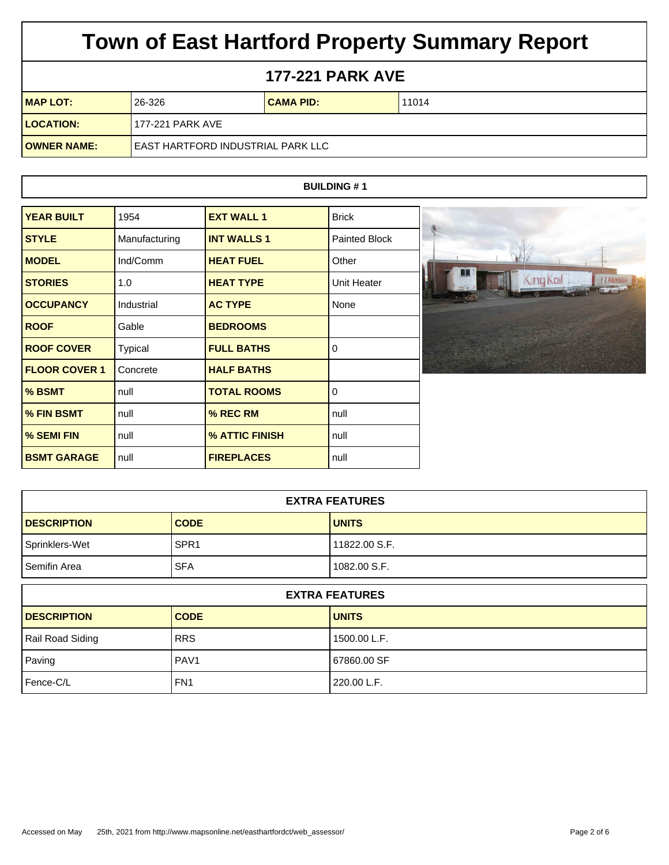## **177-221 PARK AVE**

| <b>MAP LOT:</b>    | 26-326                              | <b>CAMA PID:</b> | 11014 |
|--------------------|-------------------------------------|------------------|-------|
| <b>LOCATION:</b>   | 177-221 PARK AVE                    |                  |       |
| <b>OWNER NAME:</b> | I EAST HARTFORD INDUSTRIAL PARK LLC |                  |       |

### **BUILDING # 1**

| <b>YEAR BUILT</b>    | 1954           | <b>EXT WALL 1</b>  | <b>Brick</b>         |    |
|----------------------|----------------|--------------------|----------------------|----|
| <b>STYLE</b>         | Manufacturing  | <b>INT WALLS 1</b> | <b>Painted Block</b> |    |
| <b>MODEL</b>         | Ind/Comm       | <b>HEAT FUEL</b>   | Other                |    |
| <b>STORIES</b>       | 1.0            | <b>HEAT TYPE</b>   | <b>Unit Heater</b>   | L. |
| <b>OCCUPANCY</b>     | Industrial     | <b>AC TYPE</b>     | None                 |    |
| <b>ROOF</b>          | Gable          | <b>BEDROOMS</b>    |                      |    |
| <b>ROOF COVER</b>    | <b>Typical</b> | <b>FULL BATHS</b>  | 0                    |    |
| <b>FLOOR COVER 1</b> | Concrete       | <b>HALF BATHS</b>  |                      |    |
| % BSMT               | null           | <b>TOTAL ROOMS</b> | $\Omega$             |    |
| % FIN BSMT           | null           | % REC RM           | null                 |    |
| % SEMI FIN           | null           | % ATTIC FINISH     | null                 |    |
| <b>BSMT GARAGE</b>   | null           | <b>FIREPLACES</b>  | null                 |    |

| <b>EXTRA FEATURES</b> |                  |               |  |
|-----------------------|------------------|---------------|--|
| <b>DESCRIPTION</b>    | <b>CODE</b>      | <b>UNITS</b>  |  |
| Sprinklers-Wet        | SPR <sub>1</sub> | 11822.00 S.F. |  |
| Semifin Area          | <b>SFA</b>       | 1082.00 S.F.  |  |

| <b>EXTRA FEATURES</b> |                  |                |  |
|-----------------------|------------------|----------------|--|
| <b>DESCRIPTION</b>    | <b>CODE</b>      | <b>UNITS</b>   |  |
| Rail Road Siding      | <b>RRS</b>       | l 1500.00 L.F. |  |
| Paving                | PAV <sub>1</sub> | 67860.00 SF    |  |
| Fence-C/L             | FN <sub>1</sub>  | 220.00 L.F.    |  |

King Kol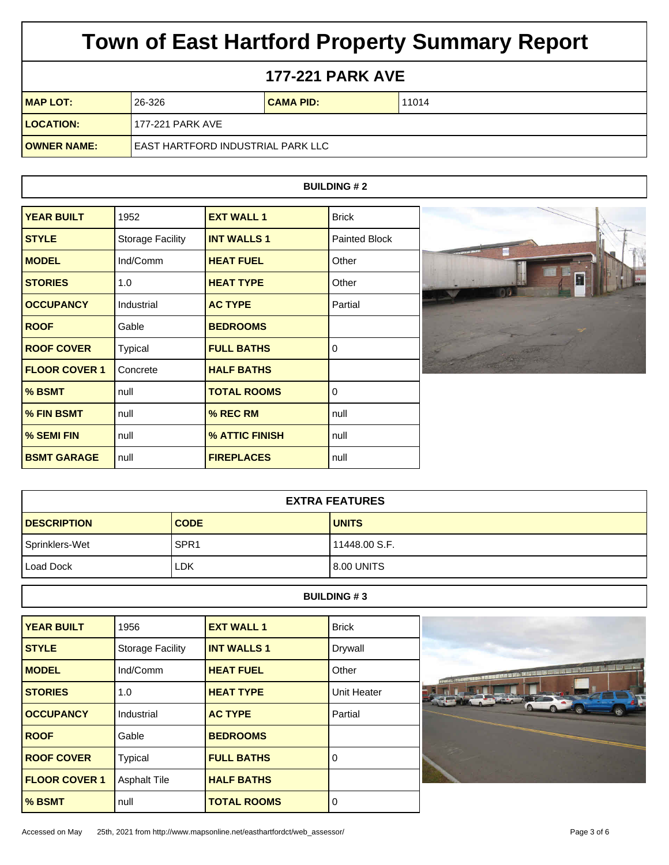## **177-221 PARK AVE**

| <b>MAP LOT:</b>    | 26-326                              | <b>CAMA PID:</b> | 11014 |
|--------------------|-------------------------------------|------------------|-------|
| <b>LOCATION:</b>   | 177-221 PARK AVE                    |                  |       |
| <b>OWNER NAME:</b> | I EAST HARTFORD INDUSTRIAL PARK LLC |                  |       |

### **BUILDING # 2**

| <b>YEAR BUILT</b>    | 1952                    | <b>EXT WALL 1</b>  | <b>Brick</b>  |
|----------------------|-------------------------|--------------------|---------------|
| <b>STYLE</b>         | <b>Storage Facility</b> | <b>INT WALLS 1</b> | Painted Block |
| <b>MODEL</b>         | Ind/Comm                | <b>HEAT FUEL</b>   | Other         |
| <b>STORIES</b>       | 1.0                     | <b>HEAT TYPE</b>   | Other         |
| <b>OCCUPANCY</b>     | Industrial              | <b>AC TYPE</b>     | Partial       |
| <b>ROOF</b>          | Gable                   | <b>BEDROOMS</b>    |               |
| <b>ROOF COVER</b>    | <b>Typical</b>          | <b>FULL BATHS</b>  | 0             |
| <b>FLOOR COVER 1</b> | Concrete                | <b>HALF BATHS</b>  |               |
| % BSMT               | null                    | <b>TOTAL ROOMS</b> | 0             |
| % FIN BSMT           | null                    | % REC RM           | null          |
| % SEMI FIN           | null                    | % ATTIC FINISH     | null          |
| <b>BSMT GARAGE</b>   | null                    | <b>FIREPLACES</b>  | null          |

| <b>EXTRA FEATURES</b> |                  |               |  |
|-----------------------|------------------|---------------|--|
| <b>DESCRIPTION</b>    | <b>CODE</b>      | <b>UNITS</b>  |  |
| Sprinklers-Wet        | SPR <sub>1</sub> | 11448.00 S.F. |  |
| Load Dock             | LDK              | l 8.00 UNITS  |  |

#### **BUILDING # 3**

| <b>YEAR BUILT</b>    | 1956                    | <b>EXT WALL 1</b>  | <b>Brick</b> |
|----------------------|-------------------------|--------------------|--------------|
| <b>STYLE</b>         | <b>Storage Facility</b> | <b>INT WALLS 1</b> | Drywall      |
| <b>MODEL</b>         | Ind/Comm                | <b>HEAT FUEL</b>   | Other        |
| <b>STORIES</b>       | 1.0                     | <b>HEAT TYPE</b>   | Unit Heater  |
| <b>OCCUPANCY</b>     | Industrial              | <b>AC TYPE</b>     | Partial      |
| <b>ROOF</b>          | Gable                   | <b>BEDROOMS</b>    |              |
| <b>ROOF COVER</b>    | <b>Typical</b>          | <b>FULL BATHS</b>  | 0            |
| <b>FLOOR COVER 1</b> | <b>Asphalt Tile</b>     | <b>HALF BATHS</b>  |              |
| % BSMT               | null                    | <b>TOTAL ROOMS</b> | 0            |

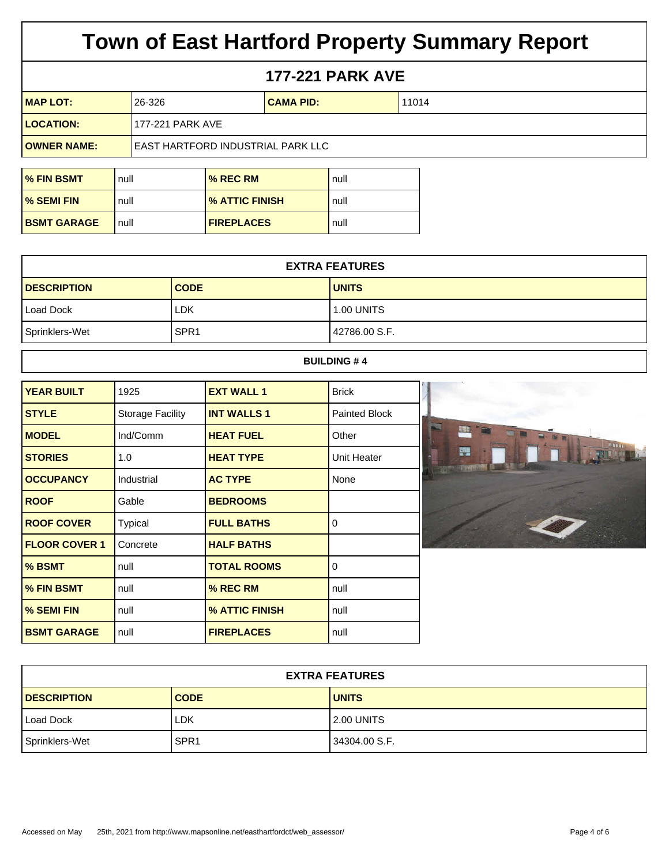### **177-221 PARK AVE**

| $IMAP$ LOT:        | 26-326                              | <b>CAMA PID:</b> | 11014 |
|--------------------|-------------------------------------|------------------|-------|
| <b>LOCATION:</b>   | 177-221 PARK AVE                    |                  |       |
| <b>OWNER NAME:</b> | I EAST HARTFORD INDUSTRIAL PARK LLC |                  |       |

| <b>% FIN BSMT</b>  | null | % REC RM          | null |
|--------------------|------|-------------------|------|
| <b>M</b> SEMI FIN  | null | % ATTIC FINISH    | null |
| <b>BSMT GARAGE</b> | null | <b>FIREPLACES</b> | null |

| <b>EXTRA FEATURES</b> |                  |                   |  |
|-----------------------|------------------|-------------------|--|
| <b>DESCRIPTION</b>    | <b>CODE</b>      | <b>UNITS</b>      |  |
| Load Dock             | LDK              | <b>1.00 UNITS</b> |  |
| Sprinklers-Wet        | SPR <sub>1</sub> | l 42786.00 S.F.   |  |

#### **BUILDING # 4**

| <b>YEAR BUILT</b>    | 1925                    | <b>EXT WALL 1</b>  | <b>Brick</b>  |
|----------------------|-------------------------|--------------------|---------------|
| <b>STYLE</b>         | <b>Storage Facility</b> | <b>INT WALLS 1</b> | Painted Block |
| <b>MODEL</b>         | Ind/Comm                | <b>HEAT FUEL</b>   | Other         |
| <b>STORIES</b>       | 1.0                     | <b>HEAT TYPE</b>   | Unit Heater   |
| <b>OCCUPANCY</b>     | Industrial              | <b>AC TYPE</b>     | None          |
| <b>ROOF</b>          | Gable                   | <b>BEDROOMS</b>    |               |
| <b>ROOF COVER</b>    | <b>Typical</b>          | <b>FULL BATHS</b>  | 0             |
| <b>FLOOR COVER 1</b> | Concrete                | <b>HALF BATHS</b>  |               |
| % BSMT               | null                    | <b>TOTAL ROOMS</b> | 0             |
| % FIN BSMT           | null                    | % REC RM           | null          |
| % SEMI FIN           | null                    | % ATTIC FINISH     | null          |
| <b>BSMT GARAGE</b>   | null                    | <b>FIREPLACES</b>  | null          |

| <b>EXTRA FEATURES</b> |                  |               |  |
|-----------------------|------------------|---------------|--|
| <b>DESCRIPTION</b>    | <b>CODE</b>      | <b>UNITS</b>  |  |
| Load Dock             | LDK              | 2.00 UNITS    |  |
| Sprinklers-Wet        | SPR <sub>1</sub> | 34304.00 S.F. |  |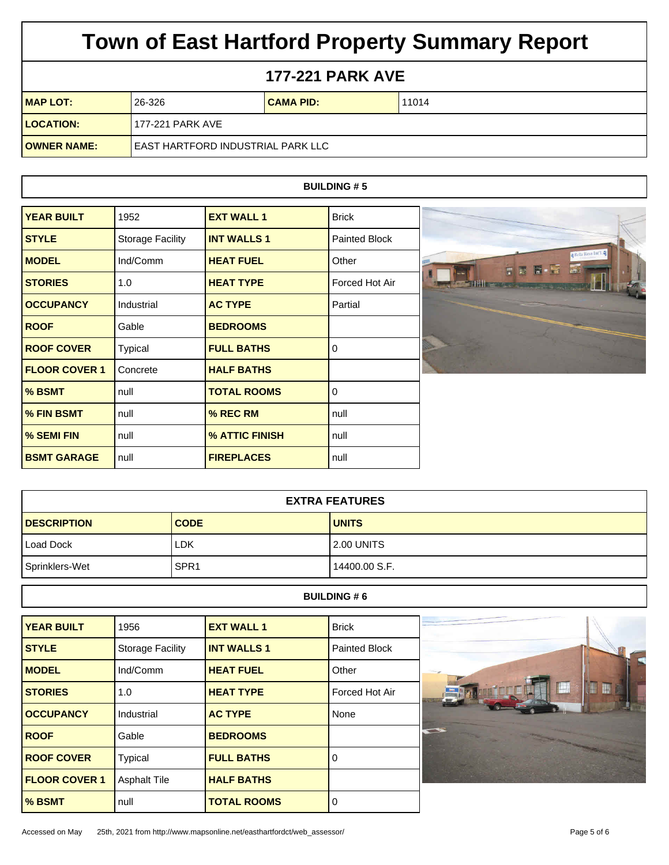## **177-221 PARK AVE**

| <b>MAP LOT:</b>    | 26-326                              | <b>CAMA PID:</b> | 11014 |
|--------------------|-------------------------------------|------------------|-------|
| <b>LOCATION:</b>   | 177-221 PARK AVE                    |                  |       |
| <b>OWNER NAME:</b> | I EAST HARTFORD INDUSTRIAL PARK LLC |                  |       |

### **BUILDING # 5**

| <b>YEAR BUILT</b>    | 1952                    | <b>EXT WALL 1</b>  | <b>Brick</b>         |
|----------------------|-------------------------|--------------------|----------------------|
| <b>STYLE</b>         | <b>Storage Facility</b> | <b>INT WALLS 1</b> | <b>Painted Block</b> |
| <b>MODEL</b>         | Ind/Comm                | <b>HEAT FUEL</b>   | Other                |
| <b>STORIES</b>       | 1.0                     | <b>HEAT TYPE</b>   | Forced Hot Air       |
| <b>OCCUPANCY</b>     | Industrial              | <b>AC TYPE</b>     | Partial              |
| <b>ROOF</b>          | Gable                   | <b>BEDROOMS</b>    |                      |
| <b>ROOF COVER</b>    | <b>Typical</b>          | <b>FULL BATHS</b>  | $\Omega$             |
| <b>FLOOR COVER 1</b> | Concrete                | <b>HALF BATHS</b>  |                      |
| % BSMT               | null                    | <b>TOTAL ROOMS</b> | $\Omega$             |
| % FIN BSMT           | null                    | $%$ REC RM         | null                 |
| % SEMI FIN           | null                    | % ATTIC FINISH     | null                 |
| <b>BSMT GARAGE</b>   | null                    | <b>FIREPLACES</b>  | null                 |



| <b>EXTRA FEATURES</b> |                  |               |  |
|-----------------------|------------------|---------------|--|
| <b>DESCRIPTION</b>    | <b>CODE</b>      | <b>UNITS</b>  |  |
| Load Dock             | <b>LDK</b>       | l 2.00 UNITS  |  |
| Sprinklers-Wet        | SPR <sub>1</sub> | 14400.00 S.F. |  |

#### **BUILDING # 6**

| <b>YEAR BUILT</b>    | 1956                    | <b>EXT WALL 1</b>  | <b>Brick</b>         |
|----------------------|-------------------------|--------------------|----------------------|
| <b>STYLE</b>         | <b>Storage Facility</b> | <b>INT WALLS 1</b> | <b>Painted Block</b> |
| <b>MODEL</b>         | Ind/Comm                | <b>HEAT FUEL</b>   | Other                |
| <b>STORIES</b>       | 1.0                     | <b>HEAT TYPE</b>   | Forced Hot Air       |
| <b>OCCUPANCY</b>     | Industrial              | <b>AC TYPE</b>     | None                 |
| <b>ROOF</b>          | Gable                   | <b>BEDROOMS</b>    |                      |
| <b>ROOF COVER</b>    | <b>Typical</b>          | <b>FULL BATHS</b>  | 0                    |
| <b>FLOOR COVER 1</b> | <b>Asphalt Tile</b>     | <b>HALF BATHS</b>  |                      |
| % BSMT               | null                    | <b>TOTAL ROOMS</b> | 0                    |